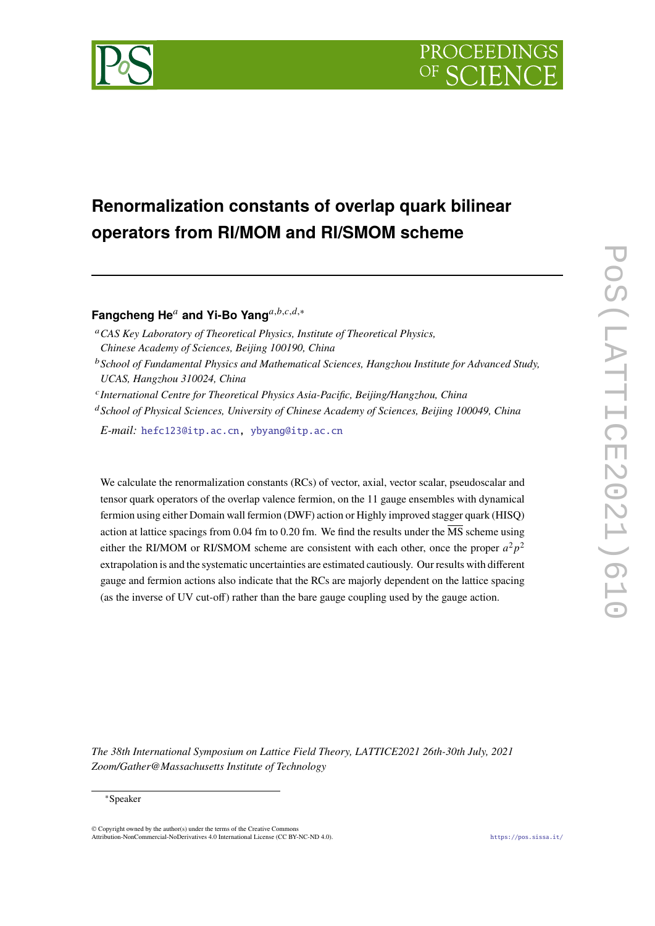

# **Renormalization constants of overlap quark bilinear operators from RI/MOM and RI/SMOM scheme**

Fangcheng He<sup>a</sup> and Yi-Bo Yang<sup>a,b,c,d,\*</sup>

*CAS Key Laboratory of Theoretical Physics, Institute of Theoretical Physics,*

*Chinese Academy of Sciences, Beijing 100190, China*

- *School of Fundamental Physics and Mathematical Sciences, Hangzhou Institute for Advanced Study, UCAS, Hangzhou 310024, China*
- *International Centre for Theoretical Physics Asia-Pacific, Beijing/Hangzhou, China*

*School of Physical Sciences, University of Chinese Academy of Sciences, Beijing 100049, China*

*E-mail:* [hefc123@itp.ac.cn,](mailto:hefc123@itp.ac.cn) [ybyang@itp.ac.cn](mailto:ybyang@itp.ac.cn)

We calculate the renormalization constants (RCs) of vector, axial, vector scalar, pseudoscalar and tensor quark operators of the overlap valence fermion, on the 11 gauge ensembles with dynamical fermion using either Domain wall fermion (DWF) action or Highly improved stagger quark (HISQ) action at lattice spacings from 0.04 fm to 0.20 fm. We find the results under the  $\overline{\text{MS}}$  scheme using either the RI/MOM or RI/SMOM scheme are consistent with each other, once the proper  $a^2p^2$ extrapolation is and the systematic uncertainties are estimated cautiously. Our results with different gauge and fermion actions also indicate that the RCs are majorly dependent on the lattice spacing (as the inverse of UV cut-off) rather than the bare gauge coupling used by the gauge action.

*The 38th International Symposium on Lattice Field Theory, LATTICE2021 26th-30th July, 2021 Zoom/Gather@Massachusetts Institute of Technology*

#### <sup>∗</sup>Speaker

 $\odot$  Copyright owned by the author(s) under the terms of the Creative Common Attribution-NonCommercial-NoDerivatives 4.0 International License (CC BY-NC-ND 4.0). <https://pos.sissa.it/>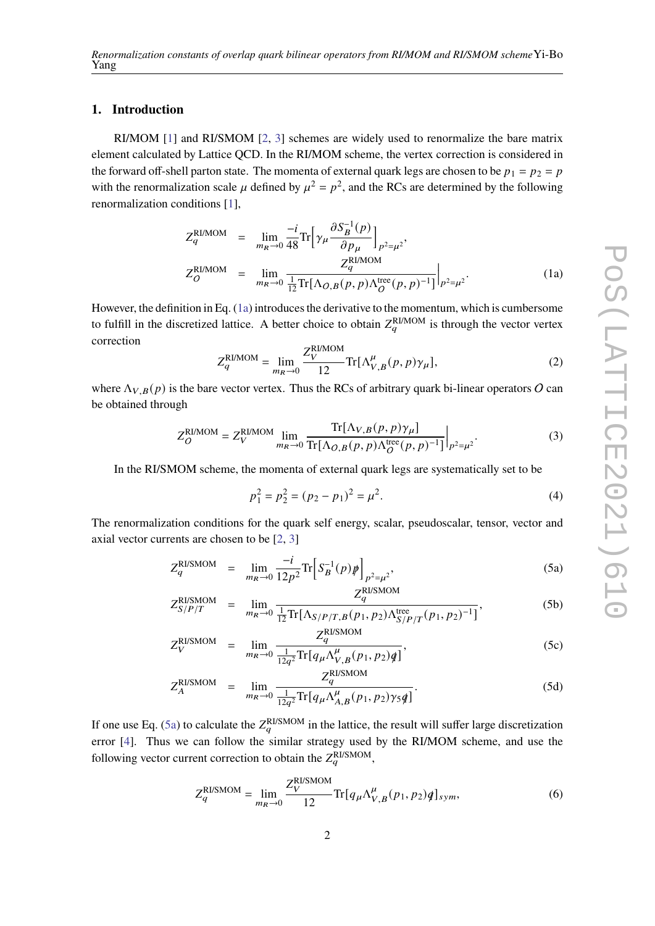# **1. Introduction**

RI/MOM [\[1\]](#page-8-0) and RI/SMOM [\[2,](#page-8-1) [3\]](#page-8-2) schemes are widely used to renormalize the bare matrix element calculated by Lattice QCD. In the RI/MOM scheme, the vertex correction is considered in the forward off-shell parton state. The momenta of external quark legs are chosen to be  $p_1 = p_2 = p$ with the renormalization scale  $\mu$  defined by  $\mu^2 = p^2$ , and the RCs are determined by the following renormalization conditions [\[1\]](#page-8-0),

<span id="page-1-0"></span>
$$
Z_{q}^{\text{RI/MOM}} = \lim_{m_R \to 0} \frac{-i}{48} \text{Tr} \left[ \gamma_{\mu} \frac{\partial S_{B}^{-1}(p)}{\partial p_{\mu}} \right]_{p^2 = \mu^2},
$$
  
\n
$$
Z_{Q}^{\text{RI/MOM}} = \lim_{m_R \to 0} \frac{Z_{q}^{\text{RI/MOM}}}{\frac{1}{12} \text{Tr} \left[ \Lambda_{Q,B}(p, p) \Lambda_{Q}^{\text{tree}}(p, p)^{-1} \right]} \Big|_{p^2 = \mu^2}.
$$
\n(1a)

However, the definition in Eq. [\(1a\)](#page-1-0) introduces the derivative to the momentum, which is cumbersome to fulfill in the discretized lattice. A better choice to obtain  $Z_a^{RI/MOM}$  is through the vector vertex correction

<span id="page-1-2"></span>
$$
Z_q^{\text{RI/MOM}} = \lim_{m_R \to 0} \frac{Z_V^{\text{RI/MOM}}}{12} \text{Tr}[\Lambda_{V,B}^{\mu}(p,p)\gamma_{\mu}],\tag{2}
$$

where  $\Lambda_{V,B}(p)$  is the bare vector vertex. Thus the RCs of arbitrary quark bi-linear operators O can be obtained through

$$
Z_O^{\text{RI/MOM}} = Z_V^{\text{RI/MOM}} \lim_{m_R \to 0} \frac{\text{Tr}[\Lambda_{V,B}(p,p)\gamma_\mu]}{\text{Tr}[\Lambda_{O,B}(p,p)\Lambda_O^{\text{tree}}(p,p)^{-1}]} \bigg|_{p^2 = \mu^2}.
$$
 (3)

In the RI/SMOM scheme, the momenta of external quark legs are systematically set to be

$$
p_1^2 = p_2^2 = (p_2 - p_1)^2 = \mu^2.
$$
 (4)

The renormalization conditions for the quark self energy, scalar, pseudoscalar, tensor, vector and axial vector currents are chosen to be [\[2,](#page-8-1) [3\]](#page-8-2)

<span id="page-1-1"></span>
$$
Z_q^{\text{RUSMOM}} = \lim_{m_R \to 0} \frac{-i}{12p^2} \text{Tr} \Big[ S_B^{-1}(p) \psi \Big]_{p^2 = \mu^2},\tag{5a}
$$

$$
Z_{S/P/T}^{\text{RUSMOM}} = \lim_{m_R \to 0} \frac{Z_q^{\text{RISMOM}}}{\frac{1}{12} \text{Tr}[\Lambda_{S/P/T, B}(p_1, p_2) \Lambda_{S/P/T}^{\text{tree}}(p_1, p_2)^{-1}]},
$$
(5b)

$$
Z_V^{\text{RUSMOM}} = \lim_{m_R \to 0} \frac{Z_q^{\text{RUSMOM}}}{\frac{1}{12q^2} \text{Tr} \left[ q_\mu \Lambda_{V,B}^\mu (p_1, p_2) q \right]},\tag{5c}
$$

$$
Z_A^{\text{RUSMOM}} = \lim_{m_R \to 0} \frac{Z_q^{\text{RUSMOM}}}{\frac{1}{12q^2} \text{Tr} \left[ q_\mu \Lambda_{A,B}^\mu (p_1, p_2) \gamma_5 q \right]}.
$$
(5d)

If one use Eq. [\(5a\)](#page-1-1) to calculate the  $Z_q^{\rm RUSMOM}$  in the lattice, the result will suffer large discretization error [\[4\]](#page-8-3). Thus we can follow the similar strategy used by the RI/MOM scheme, and use the following vector current correction to obtain the  $Z_a^{\text{RISMOM}}$ ,

<span id="page-1-3"></span>
$$
Z_q^{\text{RISMOM}} = \lim_{m_R \to 0} \frac{Z_V^{\text{RISMOM}}}{12} \text{Tr}[q_\mu \Lambda_{V,B}^\mu(p_1, p_2) q]_{sym},\tag{6}
$$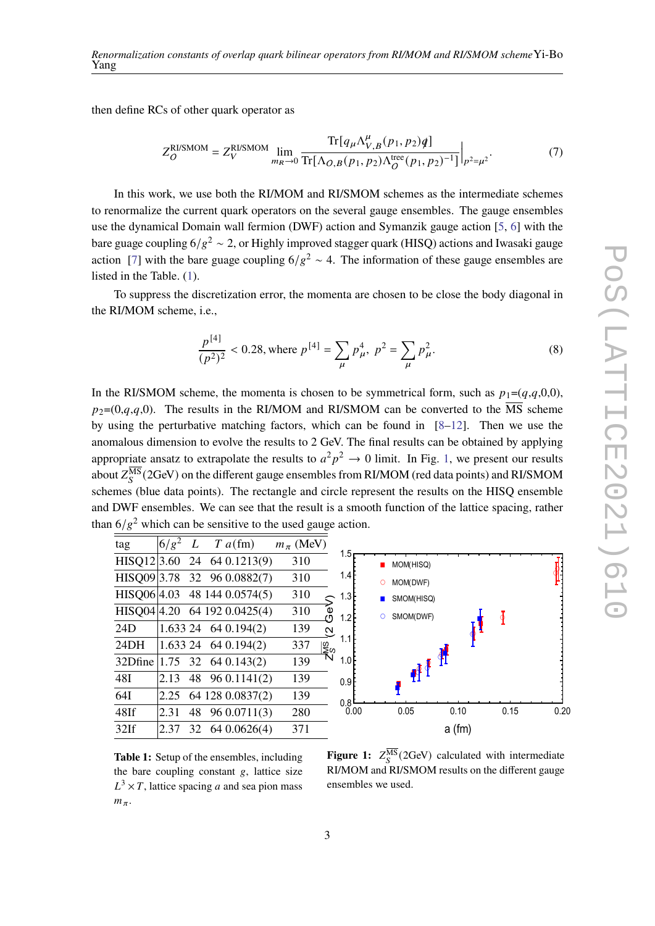then define RCs of other quark operator as

$$
Z_{O}^{\text{RUSMOM}} = Z_{V}^{\text{RUSMOM}} \lim_{m_{R} \to 0} \frac{\text{Tr}[q_{\mu} \Lambda_{V,B}^{\mu}(p_{1}, p_{2})q]}{\text{Tr}[\Lambda_{O,B}(p_{1}, p_{2}) \Lambda_{O}^{\text{tree}}(p_{1}, p_{2})^{-1}]} \bigg|_{p^{2} = \mu^{2}}.
$$
 (7)

In this work, we use both the RI/MOM and RI/SMOM schemes as the intermediate schemes to renormalize the current quark operators on the several gauge ensembles. The gauge ensembles use the dynamical Domain wall fermion (DWF) action and Symanzik gauge action [\[5,](#page-8-4) [6\]](#page-8-5) with the bare guage coupling 6/g<sup>2</sup> ~ 2, or Highly improved stagger quark (HISQ) actions and Iwasaki gauge action [\[7\]](#page-8-6) with the bare guage coupling  $6/g^2 \sim 4$ . The information of these gauge ensembles are listed in the Table. [\(1\)](#page-2-0).

To suppress the discretization error, the momenta are chosen to be close the body diagonal in the RI/MOM scheme, i.e.,

<span id="page-2-0"></span>
$$
\frac{p^{[4]}}{(p^2)^2} < 0.28 \text{, where } p^{[4]} = \sum_{\mu} p_{\mu}^4, \ p^2 = \sum_{\mu} p_{\mu}^2. \tag{8}
$$

In the RI/SMOM scheme, the momenta is chosen to be symmetrical form, such as  $p_1=(q,q,0,0)$ ,  $p_2=(0,q,q,0)$ . The results in the RI/MOM and RI/SMOM can be converted to the  $\overline{\text{MS}}$  scheme by using the perturbative matching factors, which can be found in  $[8-12]$  $[8-12]$ . Then we use the anomalous dimension to evolve the results to 2 GeV. The final results can be obtained by applying appropriate ansatz to extrapolate the results to  $a^2p^2 \rightarrow 0$  limit. In Fig. [1,](#page-2-1) we present our results about  $Z_S^{\overline{\rm MS}}(2{\rm GeV})$  on the different gauge ensembles from RI/MOM (red data points) and RI/SMOM schemes (blue data points). The rectangle and circle represent the results on the HISQ ensemble and DWF ensembles. We can see that the result is a smooth function of the lattice spacing, rather than  $6/g^2$  which can be sensitive to the used gauge action.

| tag     | $6/g^2$ |    | L T $a$ (fm)                 | $m_\pi$ (MeV) |                          |
|---------|---------|----|------------------------------|---------------|--------------------------|
|         |         |    | HISQ12 3.60 24 64 0.1213(9)  | 310           |                          |
|         |         |    | HISQ09 3.78 32 96 0.0882(7)  | 310           |                          |
|         |         |    | HISQ06 4.03 48 144 0.0574(5) | 310           |                          |
|         |         |    | HISQ04 4.20 64 192 0.0425(4) | 310           | GeV)                     |
| 24D     |         |    | $1.63324$ 64 0.194(2)        | 139           | $\overline{\mathcal{C}}$ |
| 24DH    |         |    | $1.63324$ 64 0.194(2)        | 337           | ss<br>N                  |
| 32Dfine |         |    | $1.75$ 32 64 0.143(2)        | 139           |                          |
| 48I     | 2.13    |    | 48 96 0.1141(2)              | 139           |                          |
| 64I     | 2.25    |    | 64 128 0.0837(2)             | 139           |                          |
| 48If    | 2.31    | 48 | 96 0.0711(3)                 | 280           |                          |
| 32If    | 2.37    |    | 32 64 0.0626(4)              | 371           |                          |

**Table 1:** Setup of the ensembles, including the bare coupling constant  $g$ , lattice size  $L^3 \times T$ , lattice spacing a and sea pion mass  $m_\pi$ .



<span id="page-2-1"></span>**Figure 1:**  $Z_S^{\overline{\text{MS}}}$  (2GeV) calculated with intermediate RI/MOM and RI/SMOM results on the different gauge ensembles we used.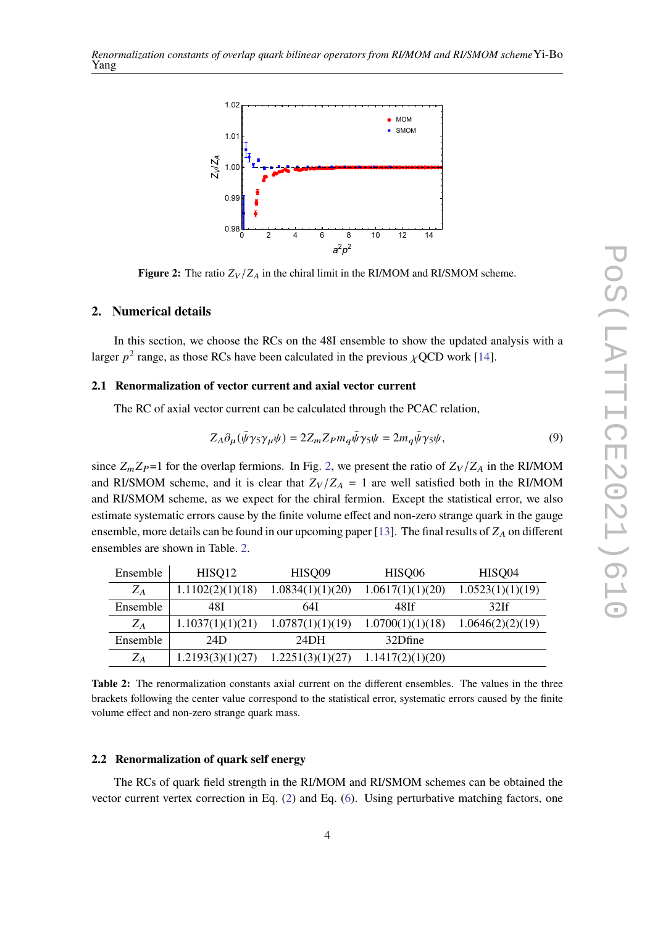<span id="page-3-0"></span>

**Figure 2:** The ratio  $Z_V/Z_A$  in the chiral limit in the RI/MOM and RI/SMOM scheme.

### **2. Numerical details**

In this section, we choose the RCs on the 48I ensemble to show the updated analysis with a larger  $p^2$  range, as those RCs have been calculated in the previous  $\chi$ QCD work [\[14\]](#page-8-9).

## **2.1 Renormalization of vector current and axial vector current**

The RC of axial vector current can be calculated through the PCAC relation,

$$
Z_A \partial_\mu (\bar{\psi} \gamma_5 \gamma_\mu \psi) = 2Z_m Z_P m_q \bar{\psi} \gamma_5 \psi = 2m_q \bar{\psi} \gamma_5 \psi, \qquad (9)
$$

since  $Z_m Z_p =1$  for the overlap fermions. In Fig. [2,](#page-3-0) we present the ratio of  $Z_V/Z_A$  in the RI/MOM and RI/SMOM scheme, and it is clear that  $Z_V/Z_A = 1$  are well satisfied both in the RI/MOM and RI/SMOM scheme, as we expect for the chiral fermion. Except the statistical error, we also estimate systematic errors cause by the finite volume effect and non-zero strange quark in the gauge ensemble, more details can be found in our upcoming paper [\[13\]](#page-8-10). The final results of  $Z_A$  on different ensembles are shown in Table. [2.](#page-3-1)

<span id="page-3-1"></span>

| Ensemble | HISQ12           | HISQ09            | HISQ06           | HISQ04           |
|----------|------------------|-------------------|------------------|------------------|
| $Z_A$    | 1.1102(2)(1)(18) | 1.0834(1)(1)(20)  | 1.0617(1)(1)(20) | 1.0523(1)(1)(19) |
| Ensemble | 48I              | 64I               | 48If             | 32If             |
| $Z_A$    | 1.1037(1)(1)(21) | 1.0787(1)(1)(19)  | 1.0700(1)(1)(18) | 1.0646(2)(2)(19) |
| Ensemble | 24D              | 24 <sub>D</sub> H | 32Dfine          |                  |
| $Z_A$    | 1.2193(3)(1)(27) | 1.2251(3)(1)(27)  | 1.1417(2)(1)(20) |                  |

**Table 2:** The renormalization constants axial current on the different ensembles. The values in the three brackets following the center value correspond to the statistical error, systematic errors caused by the finite volume effect and non-zero strange quark mass.

### <span id="page-3-2"></span>**2.2 Renormalization of quark self energy**

The RCs of quark field strength in the RI/MOM and RI/SMOM schemes can be obtained the vector current vertex correction in Eq. [\(2\)](#page-1-2) and Eq. [\(6\)](#page-1-3). Using perturbative matching factors, one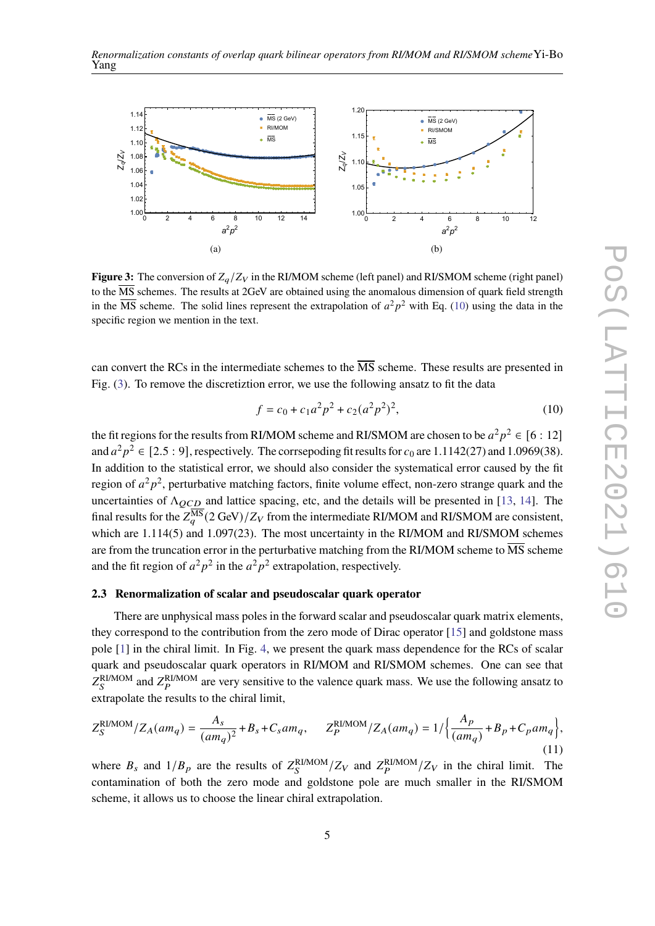<span id="page-4-1"></span>

**Figure 3:** The conversion of  $Z_a/Z_V$  in the RI/MOM scheme (left panel) and RI/SMOM scheme (right panel) to the  $\overline{\text{MS}}$  schemes. The results at 2GeV are obtained using the anomalous dimension of quark field strength in the  $\overline{\text{MS}}$  scheme. The solid lines represent the extrapolation of  $a^2p^2$  with Eq. [\(10\)](#page-4-0) using the data in the specific region we mention in the text.

can convert the RCs in the intermediate schemes to the MS scheme. These results are presented in Fig. [\(3\)](#page-4-1). To remove the discretiztion error, we use the following ansatz to fit the data

<span id="page-4-0"></span>
$$
f = c_0 + c_1 a^2 p^2 + c_2 (a^2 p^2)^2,
$$
 (10)

the fit regions for the results from RI/MOM scheme and RI/SMOM are chosen to be  $a^2p^2 \in [6:12]$ and  $a^2p^2 \in [2.5:9]$ , respectively. The corrsepoding fit results for  $c_0$  are 1.1142(27) and 1.0969(38). In addition to the statistical error, we should also consider the systematical error caused by the fit region of  $a^2p^2$ , perturbative matching factors, finite volume effect, non-zero strange quark and the uncertainties of  $\Lambda_{QCD}$  and lattice spacing, etc, and the details will be presented in [\[13,](#page-8-10) [14\]](#page-8-9). The final results for the  $Z_a^{\overline{\text{MS}}}(2\,\text{GeV})/Z_V$  from the intermediate RI/MOM and RI/SMOM are consistent, which are 1.114(5) and 1.097(23). The most uncertainty in the RI/MOM and RI/SMOM schemes are from the truncation error in the perturbative matching from the RI/MOM scheme to  $\overline{\text{MS}}$  scheme and the fit region of  $a^2p^2$  in the  $a^2p^2$  extrapolation, respectively.

## **2.3 Renormalization of scalar and pseudoscalar quark operator**

There are unphysical mass poles in the forward scalar and pseudoscalar quark matrix elements, they correspond to the contribution from the zero mode of Dirac operator [\[15\]](#page-8-11) and goldstone mass pole [\[1\]](#page-8-0) in the chiral limit. In Fig. [4,](#page-5-0) we present the quark mass dependence for the RCs of scalar quark and pseudoscalar quark operators in RI/MOM and RI/SMOM schemes. One can see that  $Z_S^{\rm RIMOM}$  and  $Z_P^{\rm RIMOM}$  are very sensitive to the valence quark mass. We use the following ansatz to extrapolate the results to the chiral limit,

$$
Z_S^{\rm RI/MOM}/Z_A(am_q) = \frac{A_s}{(am_q)^2} + B_s + C_s am_q, \qquad Z_P^{\rm RI/MOM}/Z_A(am_q) = 1/\left\{\frac{A_p}{(am_q)} + B_p + C_p am_q\right\},\tag{11}
$$

where  $B_s$  and  $1/B_p$  are the results of  $Z_S^{RI/MOM}/Z_V$  and  $Z_P^{RI/MOM}/Z_V$  in the chiral limit. The contamination of both the zero mode and goldstone pole are much smaller in the RI/SMOM scheme, it allows us to choose the linear chiral extrapolation.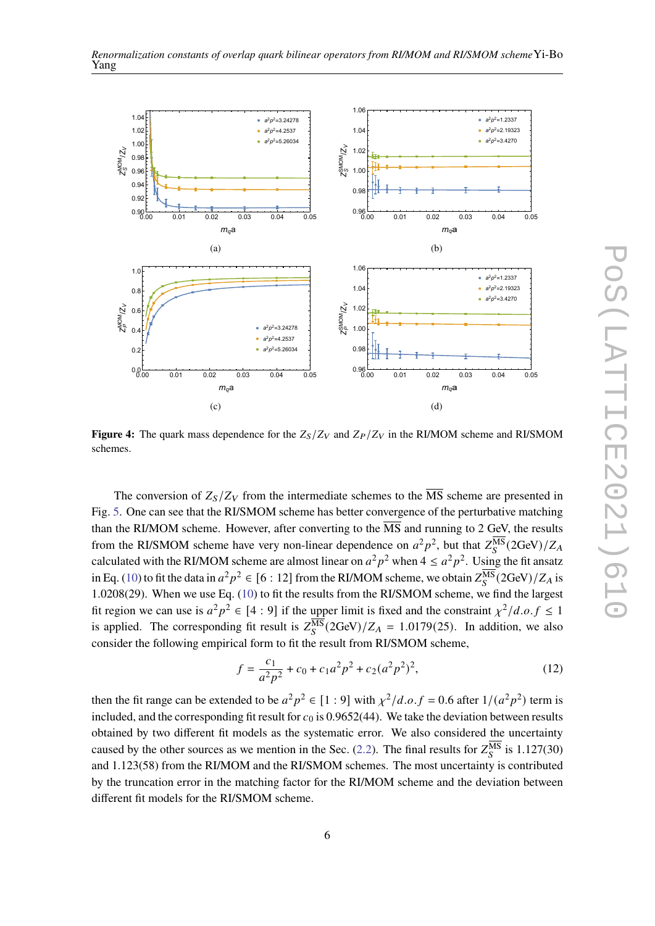

<span id="page-5-0"></span>

**Figure 4:** The quark mass dependence for the  $Z_s/Z_V$  and  $Z_P/Z_V$  in the RI/MOM scheme and RI/SMOM schemes.

The conversion of  $Z_s/Z_V$  from the intermediate schemes to the  $\overline{MS}$  scheme are presented in Fig. [5.](#page-6-0) One can see that the RI/SMOM scheme has better convergence of the perturbative matching than the RI/MOM scheme. However, after converting to the  $\overline{\text{MS}}$  and running to 2 GeV, the results from the RI/SMOM scheme have very non-linear dependence on  $a^2p^2$ , but that  $Z_S^{\overline{MS}}(2GeV)/Z_A$ calculated with the RI/MOM scheme are almost linear on  $a^2p^2$  when  $4 \le a^2p^2$ . Using the fit ansatz in Eq. [\(10\)](#page-4-0) to fit the data in  $a^2p^2 \in [6:12]$  from the RI/MOM scheme, we obtain  $Z_S^{\overline{\rm MS}}(2{\rm GeV})/Z_A$  is 1.0208(29). When we use Eq. [\(10\)](#page-4-0) to fit the results from the RI/SMOM scheme, we find the largest fit region we can use is  $a^2p^2 \in [4:9]$  if the upper limit is fixed and the constraint  $\chi^2/d.o.f \leq 1$ is applied. The corresponding fit result is  $Z_S^{\overline{\text{MS}}}(2\text{GeV})/Z_A = 1.0179(25)$ . In addition, we also consider the following empirical form to fit the result from RI/SMOM scheme,

<span id="page-5-1"></span>
$$
f = \frac{c_1}{a^2 p^2} + c_0 + c_1 a^2 p^2 + c_2 (a^2 p^2)^2,
$$
 (12)

then the fit range can be extended to be  $a^2p^2 \in [1:9]$  with  $\chi^2/d.o.f = 0.6$  after  $1/(a^2p^2)$  term is included, and the corresponding fit result for  $c_0$  is 0.9652(44). We take the deviation between results obtained by two different fit models as the systematic error. We also considered the uncertainty caused by the other sources as we mention in the Sec. [\(2.2\)](#page-3-2). The final results for  $Z_S^{\overline{\text{MS}}}$  is 1.127(30) and 1.123(58) from the RI/MOM and the RI/SMOM schemes. The most uncertainty is contributed by the truncation error in the matching factor for the RI/MOM scheme and the deviation between different fit models for the RI/SMOM scheme.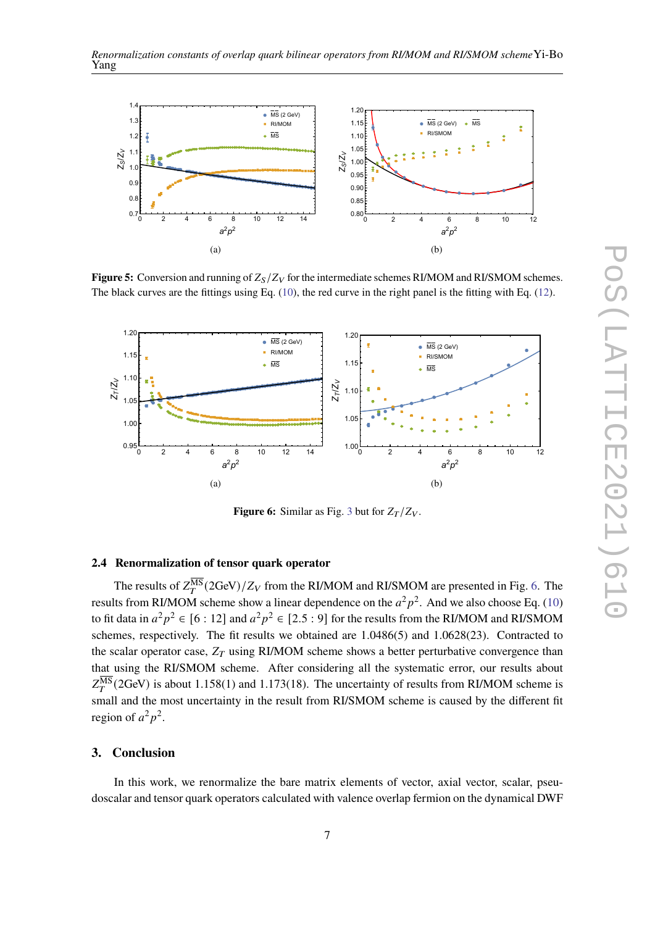<span id="page-6-0"></span>

**Figure 5:** Conversion and running of  $Z_S/Z_V$  for the intermediate schemes RI/MOM and RI/SMOM schemes. The black curves are the fittings using Eq. [\(10\)](#page-4-0), the red curve in the right panel is the fitting with Eq. [\(12\)](#page-5-1).

<span id="page-6-1"></span>

**Figure 6:** Similar as Fig. [3](#page-4-1) but for  $Z_T/Z_V$ .

# **2.4 Renormalization of tensor quark operator**

The results of  $Z_T^{\overline{\rm MS}}(2{\rm GeV})/Z_V$  from the RI/MOM and RI/SMOM are presented in Fig. [6.](#page-6-1) The results from RI/MOM scheme show a linear dependence on the  $a^2p^2$ . And we also choose Eq. [\(10\)](#page-4-0) to fit data in  $a^2p^2 \in [6:12]$  and  $a^2p^2 \in [2.5:9]$  for the results from the RI/MOM and RI/SMOM schemes, respectively. The fit results we obtained are 1.0486(5) and 1.0628(23). Contracted to the scalar operator case,  $Z_T$  using RI/MOM scheme shows a better perturbative convergence than that using the RI/SMOM scheme. After considering all the systematic error, our results about  $Z_T^{\overline{\text{MS}}}$  (2GeV) is about 1.158(1) and 1.173(18). The uncertainty of results from RI/MOM scheme is small and the most uncertainty in the result from RI/SMOM scheme is caused by the different fit region of  $a^2p^2$ .

## **3. Conclusion**

In this work, we renormalize the bare matrix elements of vector, axial vector, scalar, pseudoscalar and tensor quark operators calculated with valence overlap fermion on the dynamical DWF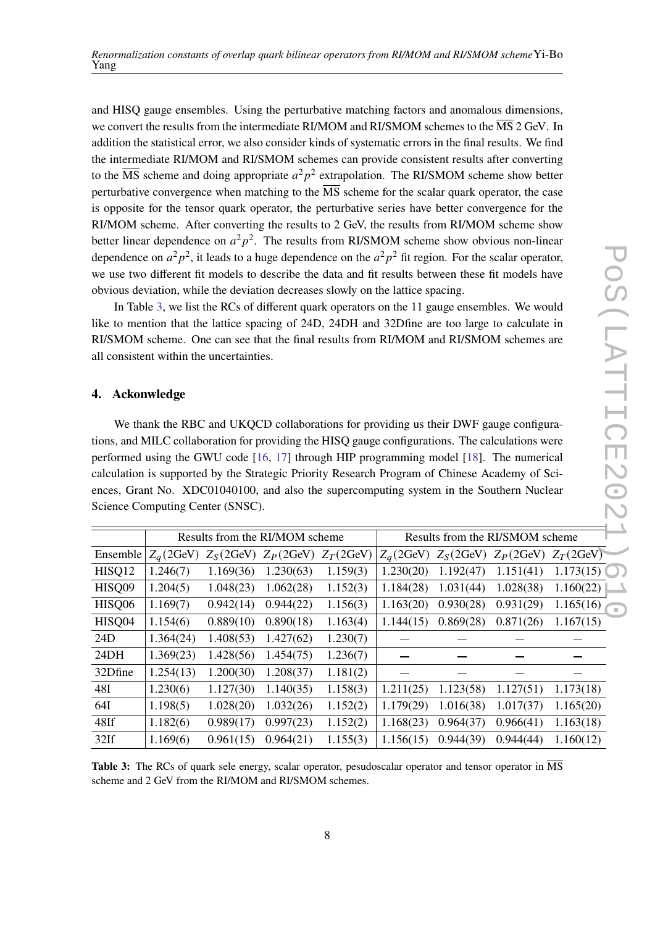and HISQ gauge ensembles. Using the perturbative matching factors and anomalous dimensions, we convert the results from the intermediate RI/MOM and RI/SMOM schemes to the MS 2 GeV. In addition the statistical error, we also consider kinds of systematic errors in the final results. We find the intermediate RI/MOM and RI/SMOM schemes can provide consistent results after converting to the  $\overline{\text{MS}}$  scheme and doing appropriate  $a^2p^2$  extrapolation. The RI/SMOM scheme show better perturbative convergence when matching to the  $\overline{\text{MS}}$  scheme for the scalar quark operator, the case is opposite for the tensor quark operator, the perturbative series have better convergence for the RI/MOM scheme. After converting the results to 2 GeV, the results from RI/MOM scheme show better linear dependence on  $a^2p^2$ . The results from RI/SMOM scheme show obvious non-linear dependence on  $a^2p^2$ , it leads to a huge dependence on the  $a^2p^2$  fit region. For the scalar operator, we use two different fit models to describe the data and fit results between these fit models have obvious deviation, while the deviation decreases slowly on the lattice spacing.

In Table [3,](#page-7-0) we list the RCs of different quark operators on the 11 gauge ensembles. We would like to mention that the lattice spacing of 24D, 24DH and 32Dfine are too large to calculate in RI/SMOM scheme. One can see that the final results from RI/MOM and RI/SMOM schemes are all consistent within the uncertainties.

#### **4. Ackonwledge**

We thank the RBC and UKQCD collaborations for providing us their DWF gauge configurations, and MILC collaboration for providing the HISQ gauge configurations. The calculations were performed using the GWU code [\[16,](#page-8-12) [17\]](#page-8-13) through HIP programming model [\[18\]](#page-8-14). The numerical calculation is supported by the Strategic Priority Research Program of Chinese Academy of Sciences, Grant No. XDC01040100, and also the supercomputing system in the Southern Nuclear Science Computing Center (SNSC).

<span id="page-7-0"></span>

| Results from the RI/MOM scheme |           |           |              | Results from the RI/SMOM scheme |                     |              |                     |
|--------------------------------|-----------|-----------|--------------|---------------------------------|---------------------|--------------|---------------------|
| $Z_a$ (2GeV)                   |           |           | $Z_T$ (2GeV) | $Z_a$ (2GeV)                    | $Z_S(2 \text{GeV})$ | $Z_P$ (2GeV) | $Z_T(2GeV)$         |
| 1.246(7)                       | 1.169(36) | 1.230(63) | 1.159(3)     | 1.230(20)                       | 1.192(47)           | 1.151(41)    | $1.173(15)$ $\circ$ |
| 1.204(5)                       | 1.048(23) | 1.062(28) | 1.152(3)     | 1.184(28)                       | 1.031(44)           | 1.028(38)    | 1.160(22)           |
| 1.169(7)                       | 0.942(14) | 0.944(22) | 1.156(3)     | 1.163(20)                       | 0.930(28)           | 0.931(29)    | 1.165(16)           |
| 1.154(6)                       | 0.889(10) | 0.890(18) | 1.163(4)     | 1.144(15)                       | 0.869(28)           | 0.871(26)    | 1.167(15)           |
| 1.364(24)                      | 1.408(53) | 1.427(62) | 1.230(7)     |                                 |                     |              |                     |
| 1.369(23)                      | 1.428(56) | 1.454(75) | 1.236(7)     |                                 |                     |              |                     |
| 1.254(13)                      | 1.200(30) | 1.208(37) | 1.181(2)     |                                 |                     |              |                     |
| 1.230(6)                       | 1.127(30) | 1.140(35) | 1.158(3)     | 1.211(25)                       | 1.123(58)           | 1.127(51)    | 1.173(18)           |
| 1.198(5)                       | 1.028(20) | 1.032(26) | 1.152(2)     | 1.179(29)                       | 1.016(38)           | 1.017(37)    | 1.165(20)           |
| 1.182(6)                       | 0.989(17) | 0.997(23) | 1.152(2)     | 1.168(23)                       | 0.964(37)           | 0.966(41)    | 1.163(18)           |
| 1.169(6)                       | 0.961(15) | 0.964(21) | 1.155(3)     | 1.156(15)                       | 0.944(39)           | 0.944(44)    | 1.160(12)           |
|                                |           |           | $Z_S(2GeV)$  | $Z_P$ (2GeV)                    |                     |              |                     |

**Table 3:** The RCs of quark sele energy, scalar operator, pesudoscalar operator and tensor operator in  $\overline{MS}$ scheme and 2 GeV from the RI/MOM and RI/SMOM schemes.